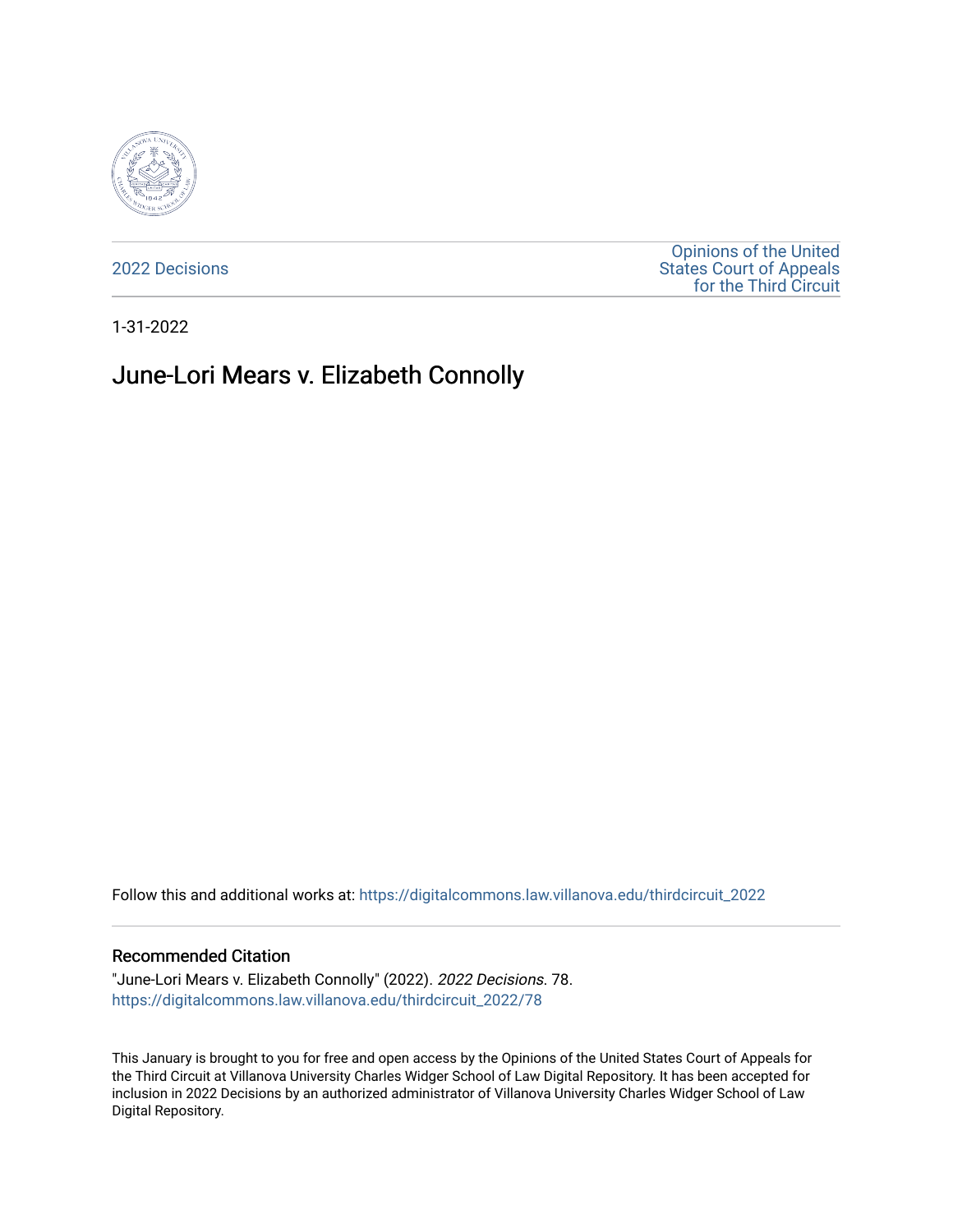

[2022 Decisions](https://digitalcommons.law.villanova.edu/thirdcircuit_2022)

[Opinions of the United](https://digitalcommons.law.villanova.edu/thirdcircuit)  [States Court of Appeals](https://digitalcommons.law.villanova.edu/thirdcircuit)  [for the Third Circuit](https://digitalcommons.law.villanova.edu/thirdcircuit) 

1-31-2022

# June-Lori Mears v. Elizabeth Connolly

Follow this and additional works at: [https://digitalcommons.law.villanova.edu/thirdcircuit\\_2022](https://digitalcommons.law.villanova.edu/thirdcircuit_2022?utm_source=digitalcommons.law.villanova.edu%2Fthirdcircuit_2022%2F78&utm_medium=PDF&utm_campaign=PDFCoverPages) 

#### Recommended Citation

"June-Lori Mears v. Elizabeth Connolly" (2022). 2022 Decisions. 78. [https://digitalcommons.law.villanova.edu/thirdcircuit\\_2022/78](https://digitalcommons.law.villanova.edu/thirdcircuit_2022/78?utm_source=digitalcommons.law.villanova.edu%2Fthirdcircuit_2022%2F78&utm_medium=PDF&utm_campaign=PDFCoverPages)

This January is brought to you for free and open access by the Opinions of the United States Court of Appeals for the Third Circuit at Villanova University Charles Widger School of Law Digital Repository. It has been accepted for inclusion in 2022 Decisions by an authorized administrator of Villanova University Charles Widger School of Law Digital Repository.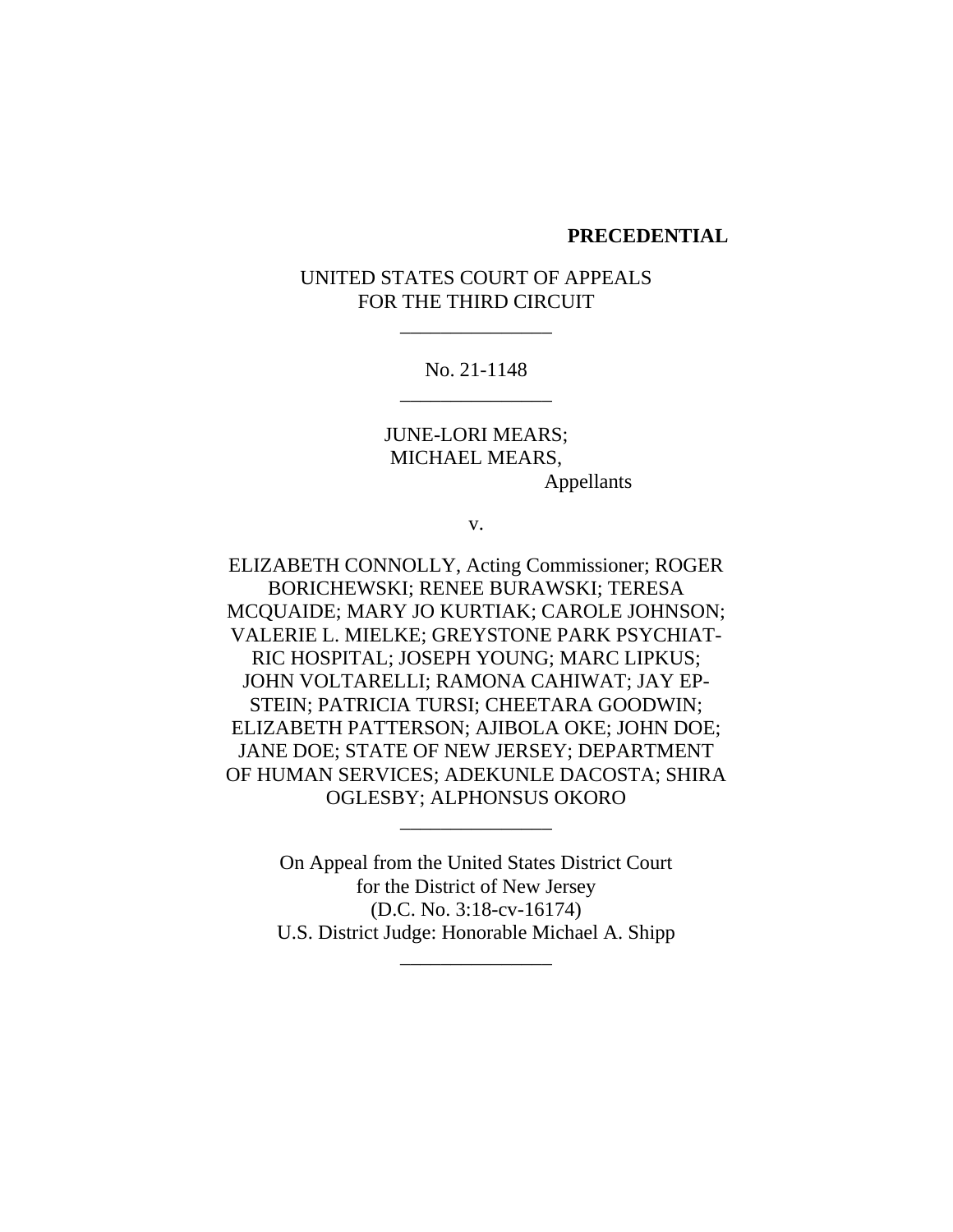#### **PRECEDENTIAL**

### UNITED STATES COURT OF APPEALS FOR THE THIRD CIRCUIT

\_\_\_\_\_\_\_\_\_\_\_\_\_\_\_

No. 21-1148 \_\_\_\_\_\_\_\_\_\_\_\_\_\_\_

JUNE-LORI MEARS; MICHAEL MEARS, Appellants

v.

ELIZABETH CONNOLLY, Acting Commissioner; ROGER BORICHEWSKI; RENEE BURAWSKI; TERESA MCQUAIDE; MARY JO KURTIAK; CAROLE JOHNSON; VALERIE L. MIELKE; GREYSTONE PARK PSYCHIAT-RIC HOSPITAL; JOSEPH YOUNG; MARC LIPKUS; JOHN VOLTARELLI; RAMONA CAHIWAT; JAY EP-STEIN; PATRICIA TURSI; CHEETARA GOODWIN; ELIZABETH PATTERSON; AJIBOLA OKE; JOHN DOE; JANE DOE; STATE OF NEW JERSEY; DEPARTMENT OF HUMAN SERVICES; ADEKUNLE DACOSTA; SHIRA OGLESBY; ALPHONSUS OKORO

> On Appeal from the United States District Court for the District of New Jersey (D.C. No. 3:18-cv-16174) U.S. District Judge: Honorable Michael A. Shipp

> > \_\_\_\_\_\_\_\_\_\_\_\_\_\_\_

\_\_\_\_\_\_\_\_\_\_\_\_\_\_\_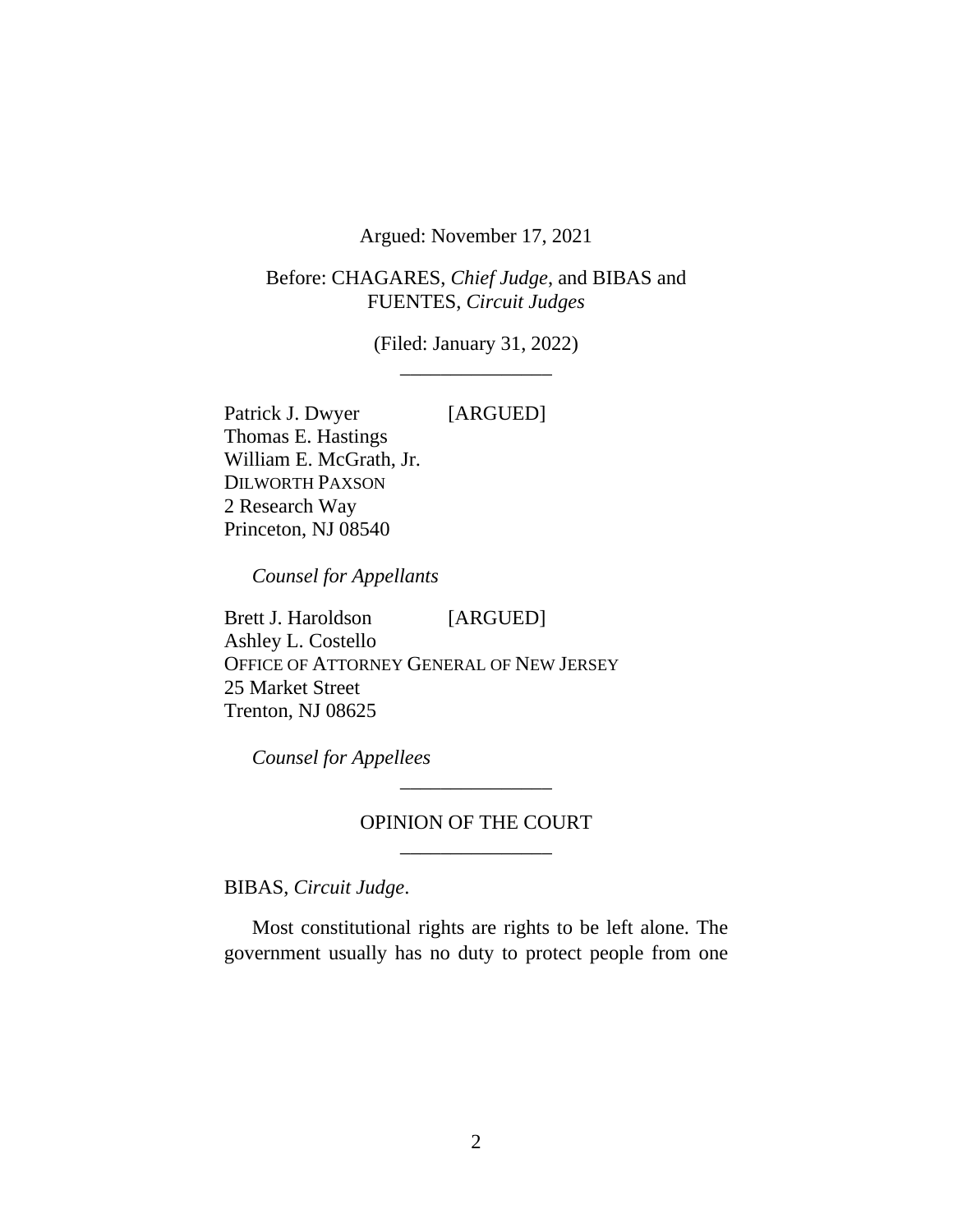Argued: November 17, 2021

Before: CHAGARES, *Chief Judge*, and BIBAS and FUENTES, *Circuit Judges*

> (Filed: January 31, 2022) \_\_\_\_\_\_\_\_\_\_\_\_\_\_\_

Patrick J. Dwyer [ARGUED] Thomas E. Hastings William E. McGrath, Jr. DILWORTH PAXSON 2 Research Way Princeton, NJ 08540

*Counsel for Appellants*

Brett J. Haroldson [ARGUED] Ashley L. Costello OFFICE OF ATTORNEY GENERAL OF NEW JERSEY 25 Market Street Trenton, NJ 08625

*Counsel for Appellees*

### OPINION OF THE COURT \_\_\_\_\_\_\_\_\_\_\_\_\_\_\_

\_\_\_\_\_\_\_\_\_\_\_\_\_\_\_

BIBAS, *Circuit Judge*.

Most constitutional rights are rights to be left alone. The government usually has no duty to protect people from one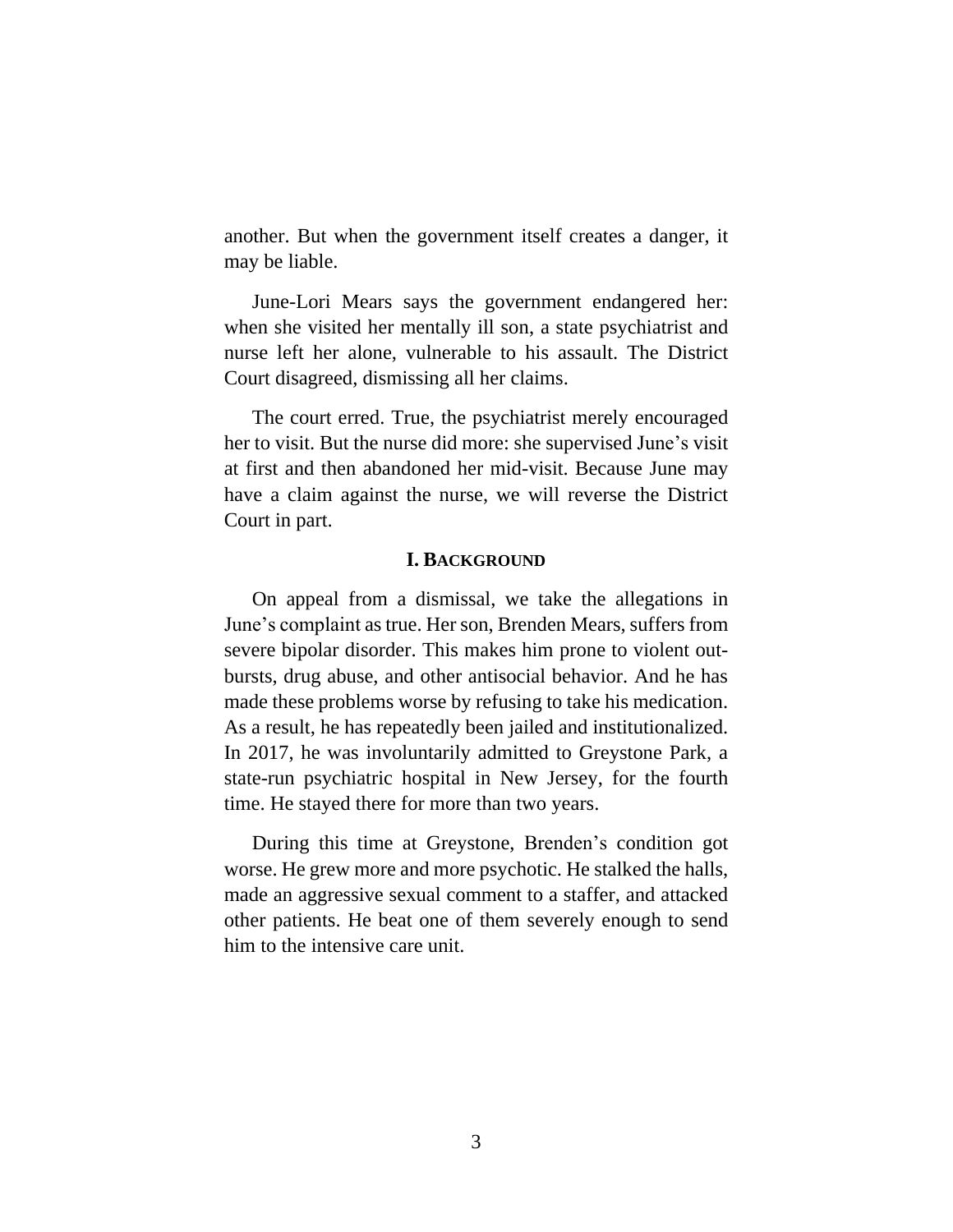another. But when the government itself creates a danger, it may be liable.

June-Lori Mears says the government endangered her: when she visited her mentally ill son, a state psychiatrist and nurse left her alone, vulnerable to his assault. The District Court disagreed, dismissing all her claims.

The court erred. True, the psychiatrist merely encouraged her to visit. But the nurse did more: she supervised June's visit at first and then abandoned her mid-visit. Because June may have a claim against the nurse, we will reverse the District Court in part.

#### **I. BACKGROUND**

On appeal from a dismissal, we take the allegations in June's complaint as true. Her son, Brenden Mears, suffers from severe bipolar disorder. This makes him prone to violent outbursts, drug abuse, and other antisocial behavior. And he has made these problems worse by refusing to take his medication. As a result, he has repeatedly been jailed and institutionalized. In 2017, he was involuntarily admitted to Greystone Park, a state-run psychiatric hospital in New Jersey, for the fourth time. He stayed there for more than two years.

During this time at Greystone, Brenden's condition got worse. He grew more and more psychotic. He stalked the halls, made an aggressive sexual comment to a staffer, and attacked other patients. He beat one of them severely enough to send him to the intensive care unit.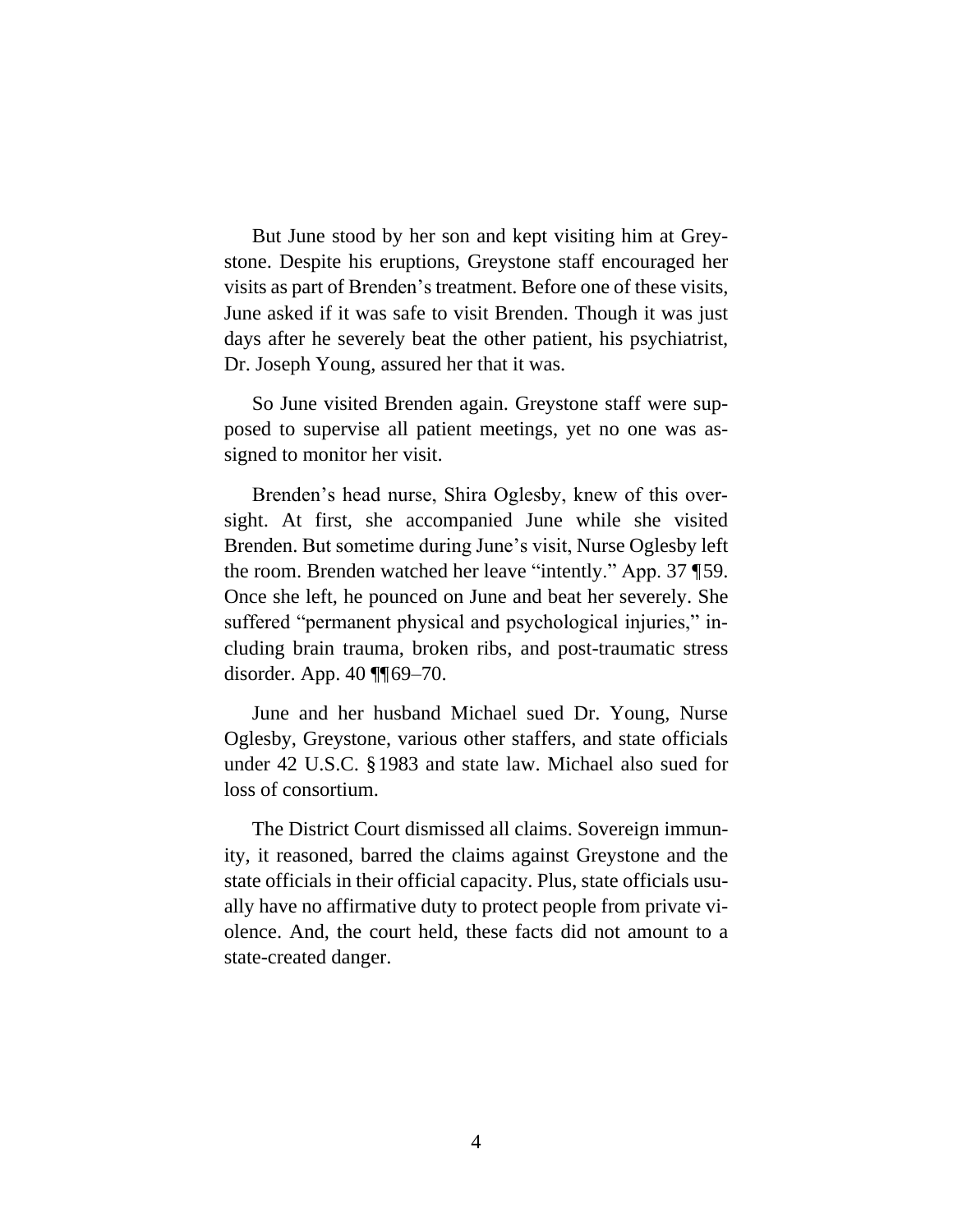But June stood by her son and kept visiting him at Greystone. Despite his eruptions, Greystone staff encouraged her visits as part of Brenden's treatment. Before one of these visits, June asked if it was safe to visit Brenden. Though it was just days after he severely beat the other patient, his psychiatrist, Dr. Joseph Young, assured her that it was.

So June visited Brenden again. Greystone staff were supposed to supervise all patient meetings, yet no one was assigned to monitor her visit.

Brenden's head nurse, Shira Oglesby, knew of this oversight. At first, she accompanied June while she visited Brenden. But sometime during June's visit, Nurse Oglesby left the room. Brenden watched her leave "intently." App. 37 ¶59. Once she left, he pounced on June and beat her severely. She suffered "permanent physical and psychological injuries," including brain trauma, broken ribs, and post-traumatic stress disorder. App. 40 ¶¶69–70.

June and her husband Michael sued Dr. Young, Nurse Oglesby, Greystone, various other staffers, and state officials under 42 U.S.C. §1983 and state law. Michael also sued for loss of consortium.

The District Court dismissed all claims. Sovereign immunity, it reasoned, barred the claims against Greystone and the state officials in their official capacity. Plus, state officials usually have no affirmative duty to protect people from private violence. And, the court held, these facts did not amount to a state-created danger.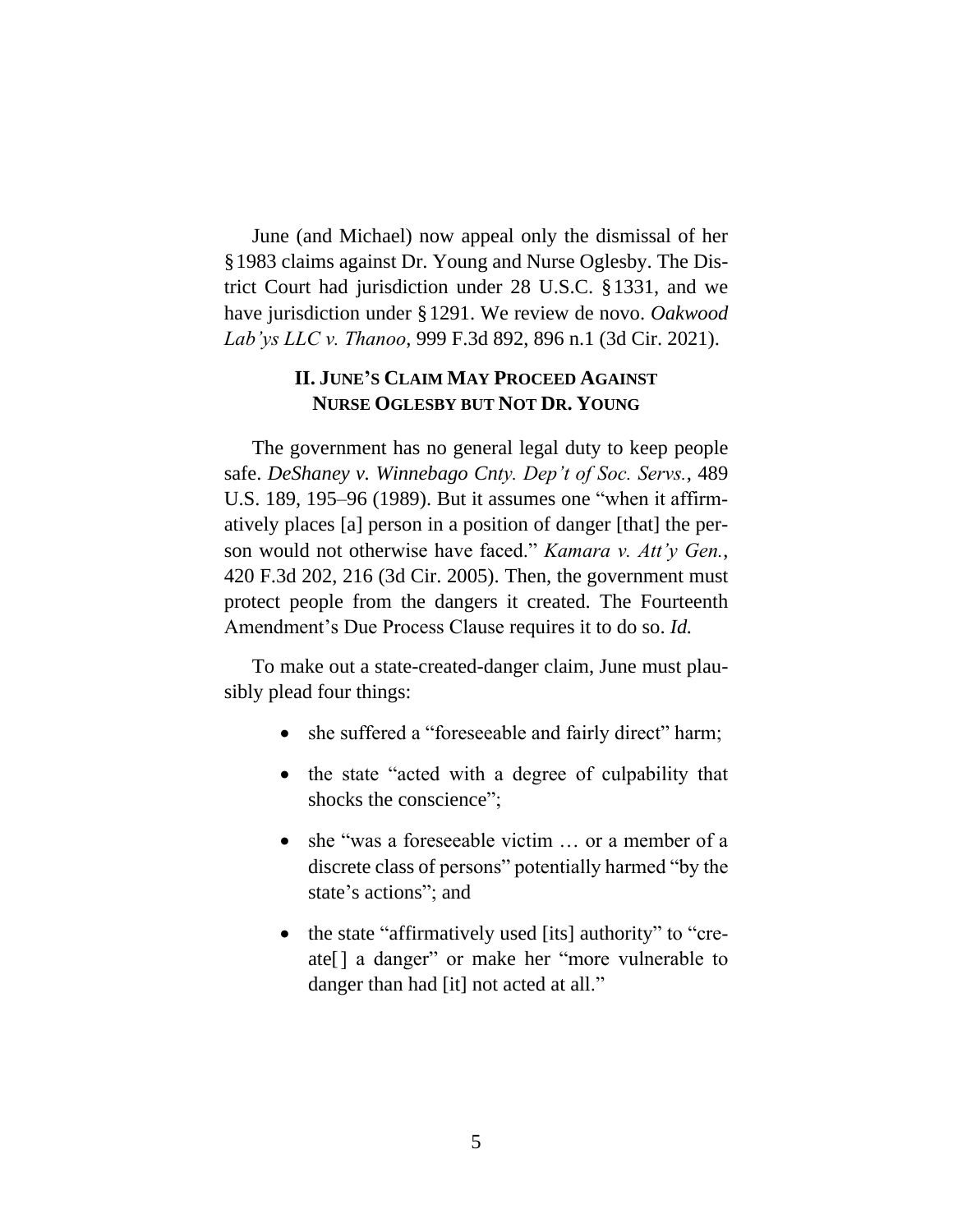June (and Michael) now appeal only the dismissal of her §1983 claims against Dr. Young and Nurse Oglesby. The District Court had jurisdiction under 28 U.S.C. §1331, and we have jurisdiction under §1291. We review de novo. *Oakwood Lab'ys LLC v. Thanoo*, 999 F.3d 892, 896 n.1 (3d Cir. 2021).

# **II. JUNE'S CLAIM MAY PROCEED AGAINST NURSE OGLESBY BUT NOT DR. YOUNG**

The government has no general legal duty to keep people safe. *DeShaney v. Winnebago Cnty. Dep't of Soc. Servs.*, 489 U.S. 189, 195–96 (1989). But it assumes one "when it affirmatively places [a] person in a position of danger [that] the person would not otherwise have faced." *Kamara v. Att'y Gen.*, 420 F.3d 202, 216 (3d Cir. 2005). Then, the government must protect people from the dangers it created. The Fourteenth Amendment's Due Process Clause requires it to do so. *Id.*

To make out a state-created-danger claim, June must plausibly plead four things:

- she suffered a "foreseeable and fairly direct" harm;
- the state "acted with a degree of culpability that shocks the conscience";
- she "was a foreseeable victim ... or a member of a discrete class of persons" potentially harmed "by the state's actions"; and
- the state "affirmatively used [its] authority" to "create[] a danger" or make her "more vulnerable to danger than had [it] not acted at all."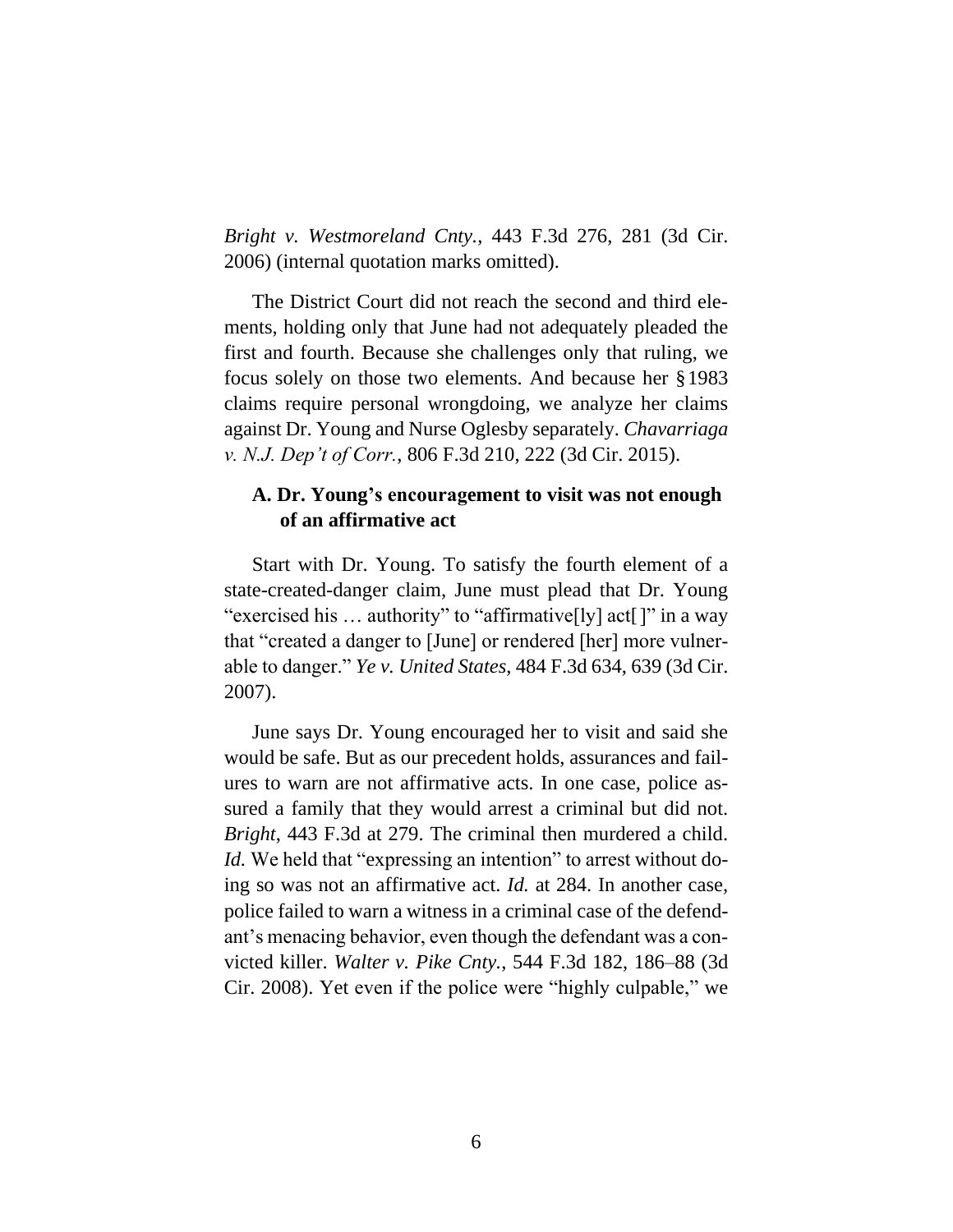*Bright v. Westmoreland Cnty.*, 443 F.3d 276, 281 (3d Cir. 2006) (internal quotation marks omitted).

The District Court did not reach the second and third elements, holding only that June had not adequately pleaded the first and fourth. Because she challenges only that ruling, we focus solely on those two elements. And because her §1983 claims require personal wrongdoing, we analyze her claims against Dr. Young and Nurse Oglesby separately. *Chavarriaga v. N.J. Dep't of Corr.*, 806 F.3d 210, 222 (3d Cir. 2015).

#### **A. Dr. Young's encouragement to visit was not enough of an affirmative act**

Start with Dr. Young. To satisfy the fourth element of a state-created-danger claim, June must plead that Dr. Young "exercised his … authority" to "affirmative[ly] act[]" in a way that "created a danger to [June] or rendered [her] more vulnerable to danger." *Ye v. United States*, 484 F.3d 634, 639 (3d Cir. 2007).

June says Dr. Young encouraged her to visit and said she would be safe. But as our precedent holds, assurances and failures to warn are not affirmative acts. In one case, police assured a family that they would arrest a criminal but did not. *Bright*, 443 F.3d at 279. The criminal then murdered a child. *Id.* We held that "expressing an intention" to arrest without doing so was not an affirmative act. *Id.* at 284. In another case, police failed to warn a witness in a criminal case of the defendant's menacing behavior, even though the defendant was a convicted killer. *Walter v. Pike Cnty.*, 544 F.3d 182, 186–88 (3d Cir. 2008). Yet even if the police were "highly culpable," we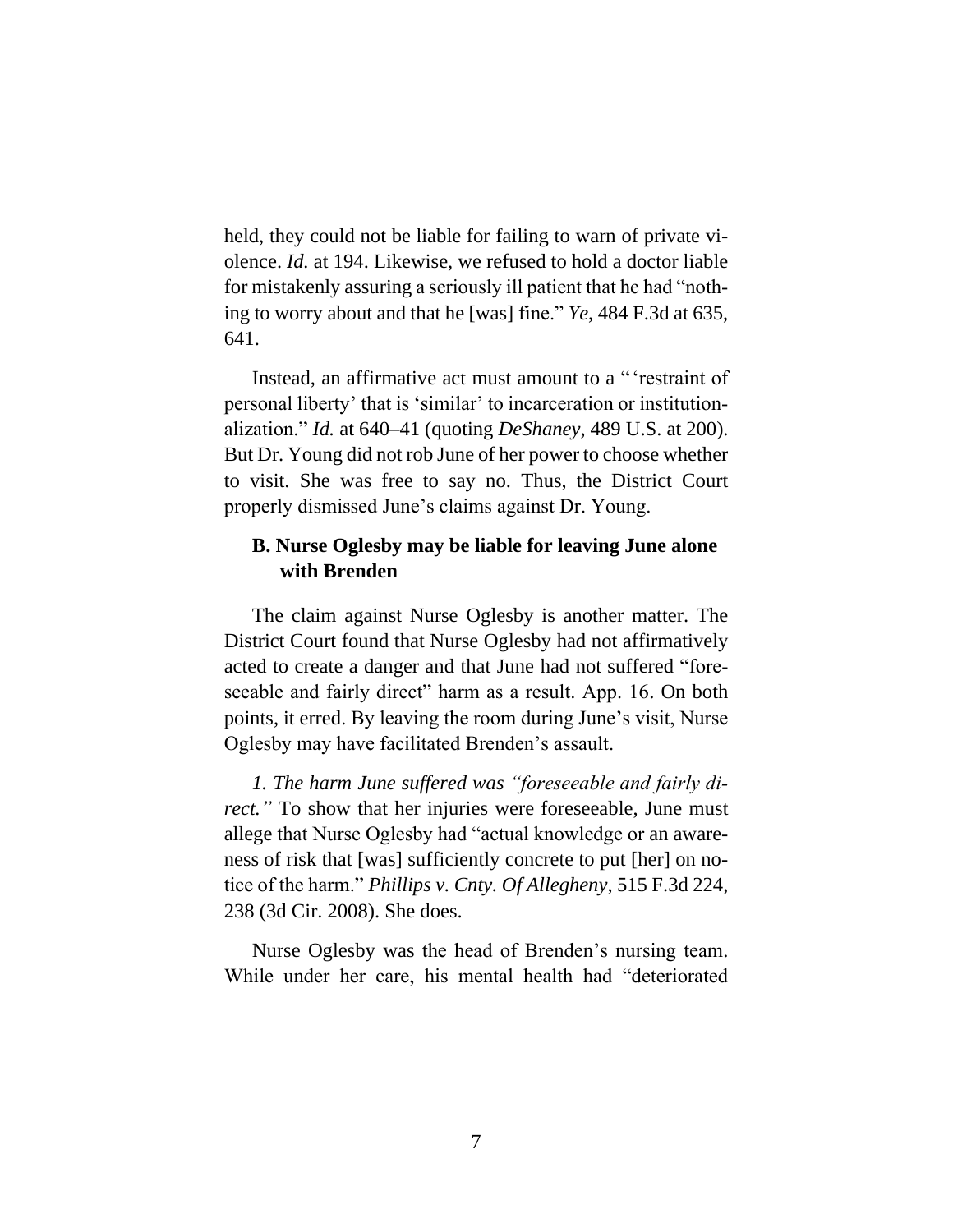held, they could not be liable for failing to warn of private violence. *Id.* at 194. Likewise, we refused to hold a doctor liable for mistakenly assuring a seriously ill patient that he had "nothing to worry about and that he [was] fine." *Ye*, 484 F.3d at 635, 641.

Instead, an affirmative act must amount to a " 'restraint of personal liberty' that is 'similar' to incarceration or institutionalization." *Id.* at 640–41 (quoting *DeShaney*, 489 U.S. at 200). But Dr. Young did not rob June of her power to choose whether to visit. She was free to say no. Thus, the District Court properly dismissed June's claims against Dr. Young.

## **B. Nurse Oglesby may be liable for leaving June alone with Brenden**

The claim against Nurse Oglesby is another matter. The District Court found that Nurse Oglesby had not affirmatively acted to create a danger and that June had not suffered "foreseeable and fairly direct" harm as a result. App. 16. On both points, it erred. By leaving the room during June's visit, Nurse Oglesby may have facilitated Brenden's assault.

*1. The harm June suffered was "foreseeable and fairly direct.*" To show that her injuries were foreseeable, June must allege that Nurse Oglesby had "actual knowledge or an awareness of risk that [was] sufficiently concrete to put [her] on notice of the harm." *Phillips v. Cnty. Of Allegheny*, 515 F.3d 224, 238 (3d Cir. 2008). She does.

Nurse Oglesby was the head of Brenden's nursing team. While under her care, his mental health had "deteriorated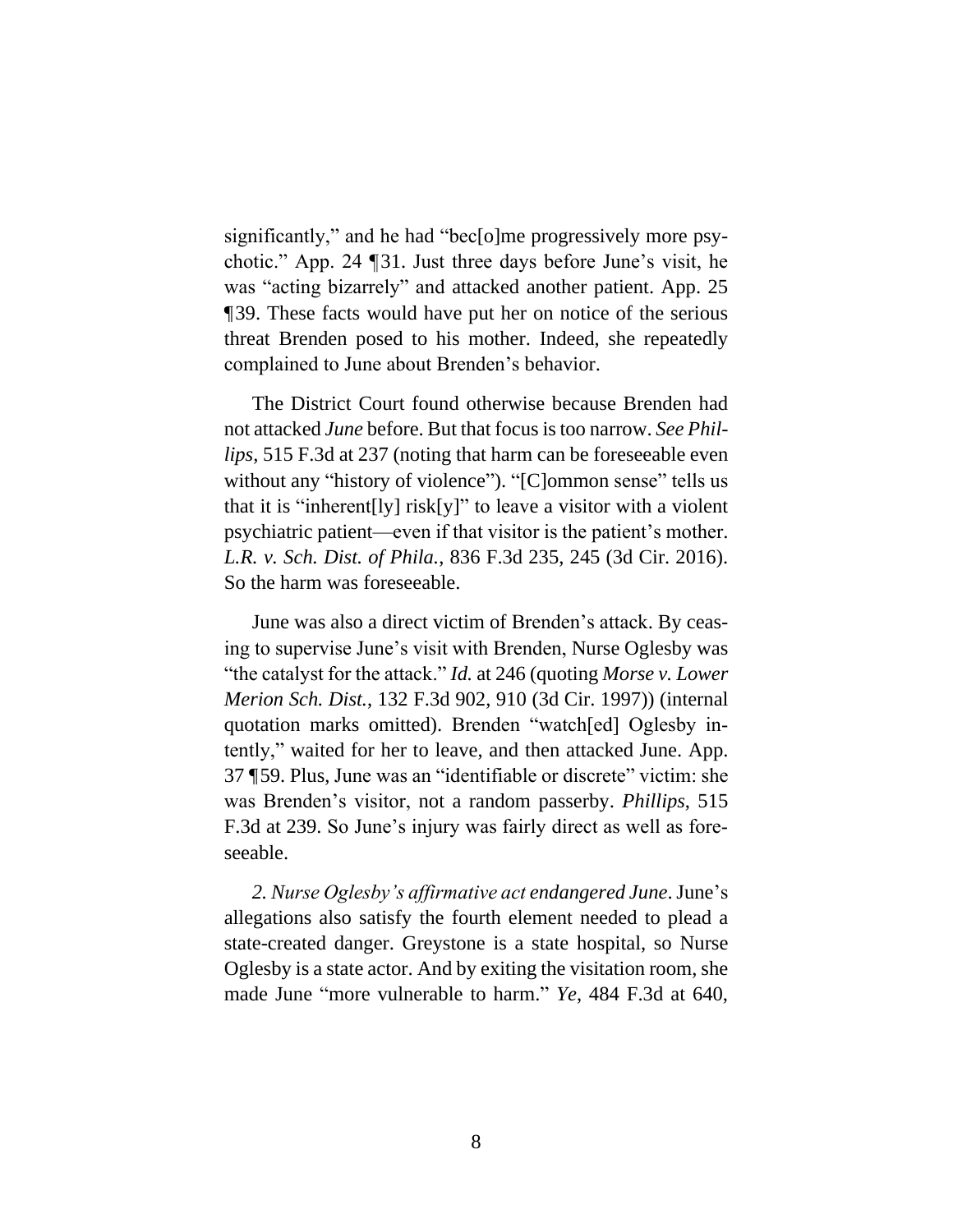significantly," and he had "bec[o]me progressively more psychotic." App. 24 ¶31. Just three days before June's visit, he was "acting bizarrely" and attacked another patient. App. 25 ¶39. These facts would have put her on notice of the serious threat Brenden posed to his mother. Indeed, she repeatedly complained to June about Brenden's behavior.

The District Court found otherwise because Brenden had not attacked *June* before. But that focus is too narrow. *See Phillips*, 515 F.3d at 237 (noting that harm can be foreseeable even without any "history of violence"). "[C]ommon sense" tells us that it is "inherent<sup>[1</sup>y] risk[y]" to leave a visitor with a violent psychiatric patient—even if that visitor is the patient's mother. *L.R. v. Sch. Dist. of Phila.*, 836 F.3d 235, 245 (3d Cir. 2016). So the harm was foreseeable.

June was also a direct victim of Brenden's attack. By ceasing to supervise June's visit with Brenden, Nurse Oglesby was "the catalyst for the attack." *Id.* at 246 (quoting *Morse v. Lower Merion Sch. Dist.*, 132 F.3d 902, 910 (3d Cir. 1997)) (internal quotation marks omitted). Brenden "watch[ed] Oglesby intently," waited for her to leave, and then attacked June. App. 37 ¶59. Plus, June was an "identifiable or discrete" victim: she was Brenden's visitor, not a random passerby. *Phillips*, 515 F.3d at 239. So June's injury was fairly direct as well as foreseeable.

*2. Nurse Oglesby's affirmative act endangered June*. June's allegations also satisfy the fourth element needed to plead a state-created danger. Greystone is a state hospital, so Nurse Oglesby is a state actor. And by exiting the visitation room, she made June "more vulnerable to harm." *Ye*, 484 F.3d at 640,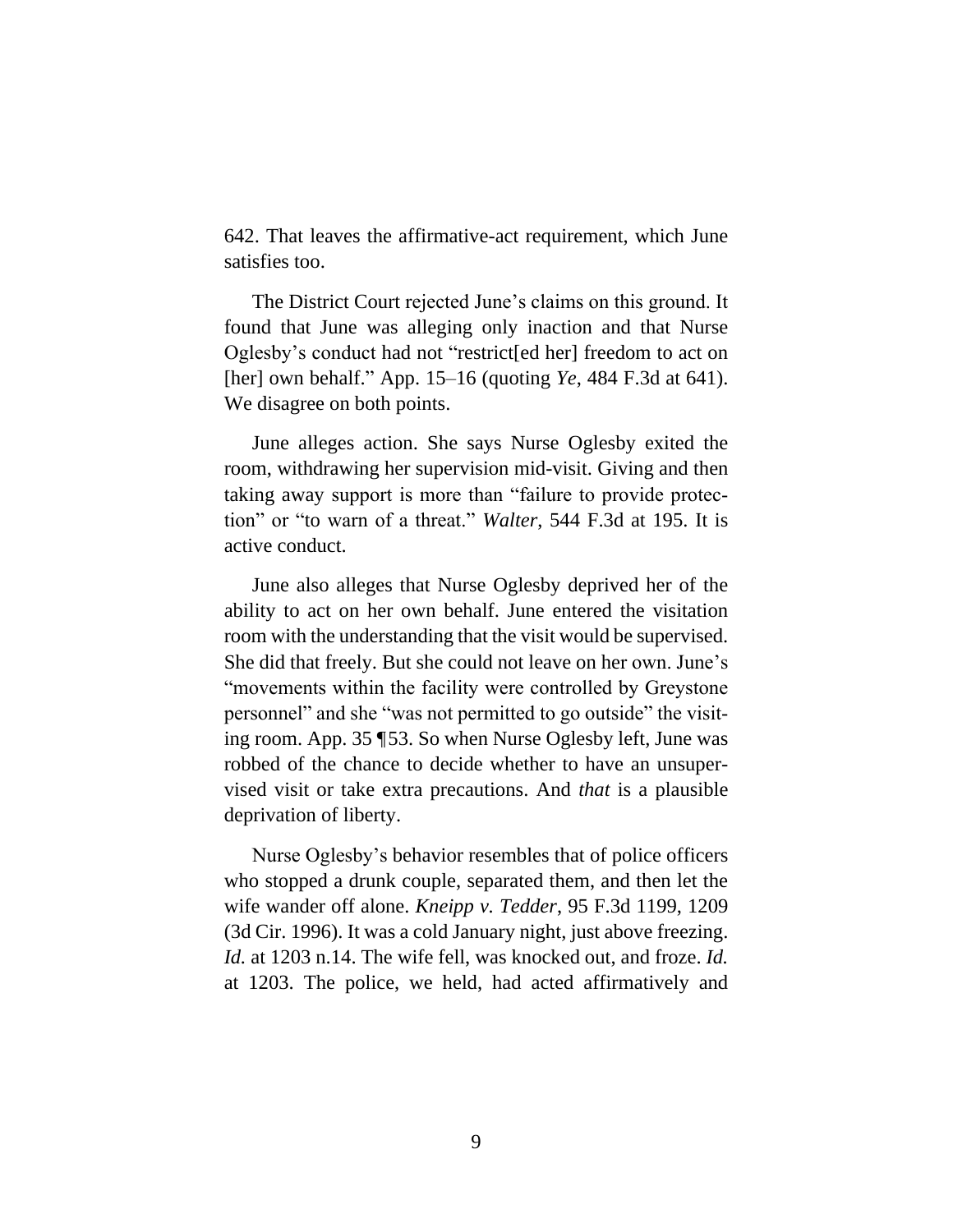642. That leaves the affirmative-act requirement, which June satisfies too.

The District Court rejected June's claims on this ground. It found that June was alleging only inaction and that Nurse Oglesby's conduct had not "restrict[ed her] freedom to act on [her] own behalf." App. 15–16 (quoting *Ye*, 484 F.3d at 641). We disagree on both points.

June alleges action. She says Nurse Oglesby exited the room, withdrawing her supervision mid-visit. Giving and then taking away support is more than "failure to provide protection" or "to warn of a threat." *Walter*, 544 F.3d at 195. It is active conduct.

June also alleges that Nurse Oglesby deprived her of the ability to act on her own behalf. June entered the visitation room with the understanding that the visit would be supervised. She did that freely. But she could not leave on her own. June's "movements within the facility were controlled by Greystone personnel" and she "was not permitted to go outside" the visiting room. App. 35 ¶53. So when Nurse Oglesby left, June was robbed of the chance to decide whether to have an unsupervised visit or take extra precautions. And *that* is a plausible deprivation of liberty.

Nurse Oglesby's behavior resembles that of police officers who stopped a drunk couple, separated them, and then let the wife wander off alone. *Kneipp v. Tedder*, 95 F.3d 1199, 1209 (3d Cir. 1996). It was a cold January night, just above freezing. *Id.* at 1203 n.14. The wife fell, was knocked out, and froze. *Id.* at 1203. The police, we held, had acted affirmatively and